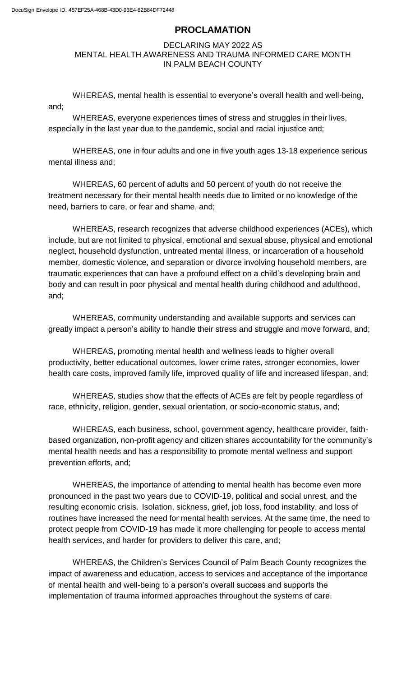# **PROCLAMATION**

#### DECLARING MAY 2022 AS MENTAL HEALTH AWARENESS AND TRAUMA INFORMED CARE MONTH IN PALM BEACH COUNTY

and; WHEREAS, mental health is essential to everyone's overall health and well-being,

WHEREAS, everyone experiences times of stress and struggles in their lives, especially in the last year due to the pandemic, social and racial injustice and;

WHEREAS, one in four adults and one in five youth ages 13-18 experience serious mental illness and;

WHEREAS, 60 percent of adults and 50 percent of youth do not receive the treatment necessary for their mental health needs due to limited or no knowledge of the need, barriers to care, or fear and shame, and;

WHEREAS, research recognizes that adverse childhood experiences (ACEs), which include, but are not limited to physical, emotional and sexual abuse, physical and emotional neglect, household dysfunction, untreated mental illness, or incarceration of a household member, domestic violence, and separation or divorce involving household members, are traumatic experiences that can have a profound effect on a child's developing brain and body and can result in poor physical and mental health during childhood and adulthood, and;

WHEREAS, community understanding and available supports and services can greatly impact a person's ability to handle their stress and struggle and move forward, and;

WHEREAS, promoting mental health and wellness leads to higher overall productivity, better educational outcomes, lower crime rates, stronger economies, lower health care costs, improved family life, improved quality of life and increased lifespan, and;

WHEREAS, studies show that the effects of ACEs are felt by people regardless of race, ethnicity, religion, gender, sexual orientation, or socio-economic status, and;

WHEREAS, each business, school, government agency, healthcare provider, faithbased organization, non-profit agency and citizen shares accountability for the community's mental health needs and has a responsibility to promote mental wellness and support prevention efforts, and;

WHEREAS, the importance of attending to mental health has become even more pronounced in the past two years due to COVID-19, political and social unrest, and the resulting economic crisis. Isolation, sickness, grief, job loss, food instability, and loss of routines have increased the need for mental health services. At the same time, the need to protect people from COVID-19 has made it more challenging for people to access mental health services, and harder for providers to deliver this care, and;

WHEREAS, the Children's Services Council of Palm Beach County recognizes the impact of awareness and education, access to services and acceptance of the importance of mental health and well-being to a person's overall success and supports the implementation of trauma informed approaches throughout the systems of care.